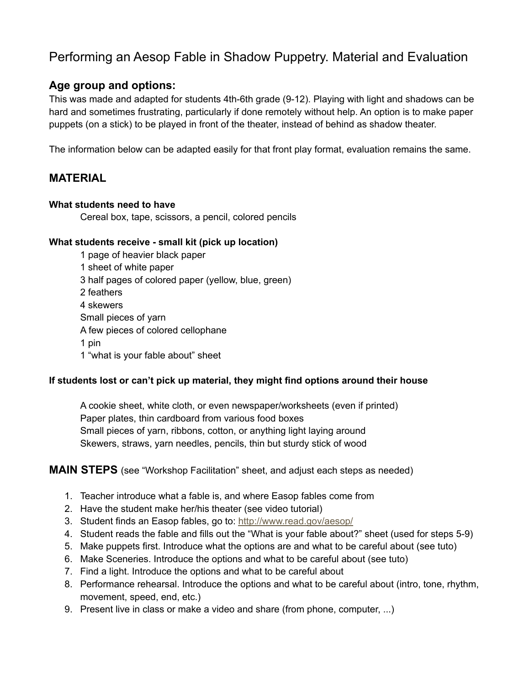# Performing an Aesop Fable in Shadow Puppetry. Material and Evaluation

### **Age group and options:**

This was made and adapted for students 4th-6th grade (9-12). Playing with light and shadows can be hard and sometimes frustrating, particularly if done remotely without help. An option is to make paper puppets (on a stick) to be played in front of the theater, instead of behind as shadow theater.

The information below can be adapted easily for that front play format, evaluation remains the same.

## **MATERIAL**

#### **What students need to have**

Cereal box, tape, scissors, a pencil, colored pencils

#### **What students receive - small kit (pick up location)**

1 page of heavier black paper 1 sheet of white paper 3 half pages of colored paper (yellow, blue, green) 2 feathers 4 skewers Small pieces of yarn A few pieces of colored cellophane 1 pin 1 "what is your fable about" sheet

#### **If students lost or can't pick up material, they might find options around their house**

A cookie sheet, white cloth, or even newspaper/worksheets (even if printed) Paper plates, thin cardboard from various food boxes Small pieces of yarn, ribbons, cotton, or anything light laying around Skewers, straws, yarn needles, pencils, thin but sturdy stick of wood

#### **MAIN STEPS** (see "Workshop Facilitation" sheet, and adjust each steps as needed)

- 1. Teacher introduce what a fable is, and where Easop fables come from
- 2. Have the student make her/his theater (see video tutorial)
- 3. Student finds an Easop fables, go to: <http://www.read.gov/aesop/>
- 4. Student reads the fable and fills out the "What is your fable about?" sheet (used for steps 5-9)
- 5. Make puppets first. Introduce what the options are and what to be careful about (see tuto)
- 6. Make Sceneries. Introduce the options and what to be careful about (see tuto)
- 7. Find a light. Introduce the options and what to be careful about
- 8. Performance rehearsal. Introduce the options and what to be careful about (intro, tone, rhythm, movement, speed, end, etc.)
- 9. Present live in class or make a video and share (from phone, computer, ...)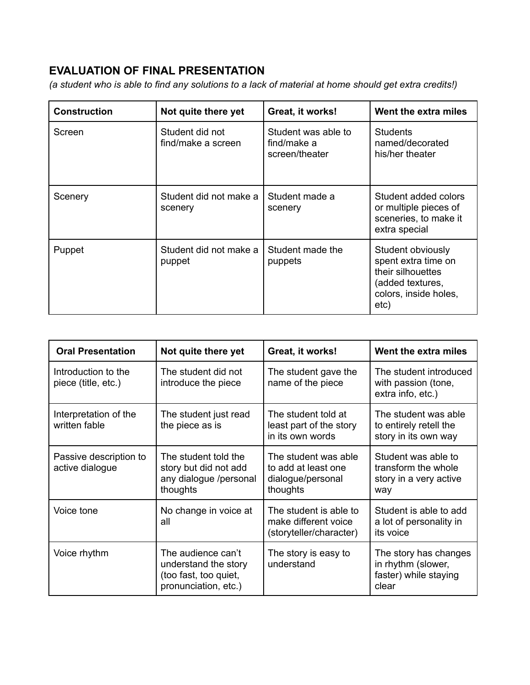## **EVALUATION OF FINAL PRESENTATION**

(a student who is able to find any solutions to a lack of material at home should get extra credits!)

| <b>Construction</b> | Not quite there yet                   | Great, it works!                                     | Went the extra miles                                                                                               |
|---------------------|---------------------------------------|------------------------------------------------------|--------------------------------------------------------------------------------------------------------------------|
| Screen              | Student did not<br>find/make a screen | Student was able to<br>find/make a<br>screen/theater | <b>Students</b><br>named/decorated<br>his/her theater                                                              |
| Scenery             | Student did not make a<br>scenery     | Student made a<br>scenery                            | Student added colors<br>or multiple pieces of<br>sceneries, to make it<br>extra special                            |
| Puppet              | Student did not make a<br>puppet      | Student made the<br>puppets                          | Student obviously<br>spent extra time on<br>their silhouettes<br>(added textures,<br>colors, inside holes,<br>etc) |

| <b>Oral Presentation</b>                   | Not quite there yet                                                                         | Great, it works!                                                             | Went the extra miles                                                          |
|--------------------------------------------|---------------------------------------------------------------------------------------------|------------------------------------------------------------------------------|-------------------------------------------------------------------------------|
| Introduction to the<br>piece (title, etc.) | The student did not<br>introduce the piece                                                  | The student gave the<br>name of the piece                                    | The student introduced<br>with passion (tone,<br>extra info, etc.)            |
| Interpretation of the<br>written fable     | The student just read<br>the piece as is                                                    | The student told at<br>least part of the story<br>in its own words           | The student was able<br>to entirely retell the<br>story in its own way        |
| Passive description to<br>active dialogue  | The student told the<br>story but did not add<br>any dialogue /personal<br>thoughts         | The student was able<br>to add at least one<br>dialogue/personal<br>thoughts | Student was able to<br>transform the whole<br>story in a very active<br>way   |
| Voice tone                                 | No change in voice at<br>all                                                                | The student is able to<br>make different voice<br>(storyteller/character)    | Student is able to add<br>a lot of personality in<br>its voice                |
| Voice rhythm                               | The audience can't<br>understand the story<br>(too fast, too quiet,<br>pronunciation, etc.) | The story is easy to<br>understand                                           | The story has changes<br>in rhythm (slower,<br>faster) while staying<br>clear |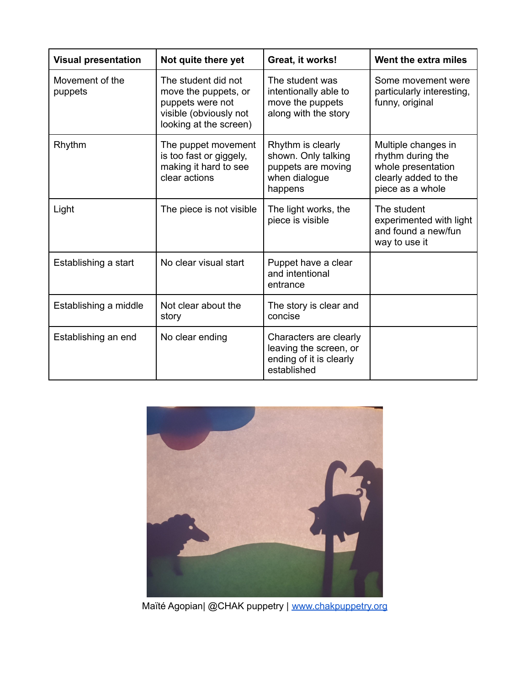| <b>Visual presentation</b> | Not quite there yet                                                                                                 | Great, it works!                                                                           | Went the extra miles                                                                                       |
|----------------------------|---------------------------------------------------------------------------------------------------------------------|--------------------------------------------------------------------------------------------|------------------------------------------------------------------------------------------------------------|
| Movement of the<br>puppets | The student did not<br>move the puppets, or<br>puppets were not<br>visible (obviously not<br>looking at the screen) | The student was<br>intentionally able to<br>move the puppets<br>along with the story       | Some movement were<br>particularly interesting,<br>funny, original                                         |
| Rhythm                     | The puppet movement<br>is too fast or giggely,<br>making it hard to see<br>clear actions                            | Rhythm is clearly<br>shown. Only talking<br>puppets are moving<br>when dialogue<br>happens | Multiple changes in<br>rhythm during the<br>whole presentation<br>clearly added to the<br>piece as a whole |
| Light                      | The piece is not visible                                                                                            | The light works, the<br>piece is visible                                                   | The student<br>experimented with light<br>and found a new/fun<br>way to use it                             |
| Establishing a start       | No clear visual start                                                                                               | Puppet have a clear<br>and intentional<br>entrance                                         |                                                                                                            |
| Establishing a middle      | Not clear about the<br>story                                                                                        | The story is clear and<br>concise                                                          |                                                                                                            |
| Establishing an end        | No clear ending                                                                                                     | Characters are clearly<br>leaving the screen, or<br>ending of it is clearly<br>established |                                                                                                            |



Maïté Agopian| @CHAK puppetry | [www.chakpuppetry.org](http://www.chakpuppetry.org)